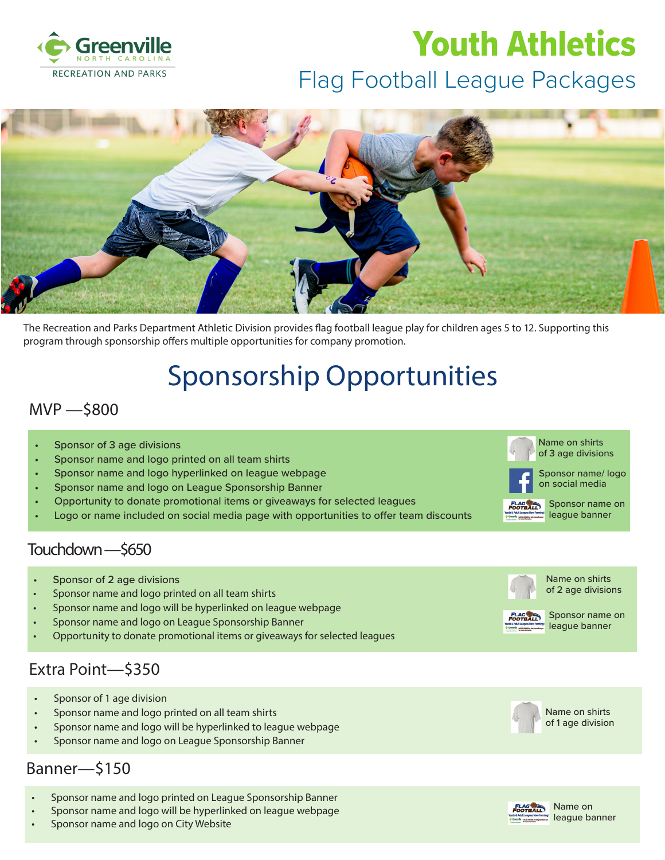

# Flag Football League Packages Youth Athletics



The Recreation and Parks Department Athletic Division provides flag football league play for children ages 5 to 12. Supporting this program through sponsorship offers multiple opportunities for company promotion.

# Sponsorship Opportunities

#### MVP —\$800

- Sponsor of 3 age divisions
- Sponsor name and logo printed on all team shirts
- Sponsor name and logo hyperlinked on league webpage
- Sponsor name and logo on League Sponsorship Banner
- Opportunity to donate promotional items or giveaways for selected leagues
- Logo or name included on social media page with opportunities to offer team discounts

#### Touchdown —\$650

- Sponsor of 2 age divisions
- Sponsor name and logo printed on all team shirts
- Sponsor name and logo will be hyperlinked on league webpage
- Sponsor name and logo on League Sponsorship Banner
- Opportunity to donate promotional items or giveaways for selected leagues

### Extra Point—\$350

- Sponsor of 1 age division
- Sponsor name and logo printed on all team shirts
- Sponsor name and logo will be hyperlinked to league webpage
- Sponsor name and logo on League Sponsorship Banner

### Banner—\$150

- Sponsor name and logo printed on League Sponsorship Banner
- Sponsor name and logo will be hyperlinked on league webpage
- Sponsor name and logo on City Website



Name on shirts of 3 age divisions



Sponsor name on league banner



of 2 age divisions



Sponsor name on league banner

Name on shirts



Name on shirts of 1 age division